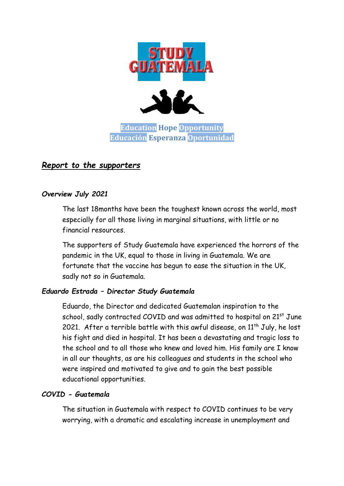

# *Report to the supporters*

## *Overview July 2021*

The last 18months have been the toughest known across the world, most especially for all those living in marginal situations, with little or no financial resources.

The supporters of Study Guatemala have experienced the horrors of the pandemic in the UK, equal to those in living in Guatemala. We are fortunate that the vaccine has begun to ease the situation in the UK, sadly not so in Guatemala.

## *Eduardo Estrada – Director Study Guatemala*

Eduardo, the Director and dedicated Guatemalan inspiration to the school, sadly contracted COVID and was admitted to hospital on 21st June 2021. After a terrible battle with this awful disease, on  $11<sup>th</sup>$  July, he lost his fight and died in hospital. It has been a devastating and tragic loss to the school and to all those who knew and loved him. His family are I know in all our thoughts, as are his colleagues and students in the school who were inspired and motivated to give and to gain the best possible educational opportunities.

## *COVID - Guatemala*

The situation in Guatemala with respect to COVID continues to be very worrying, with a dramatic and escalating increase in unemployment and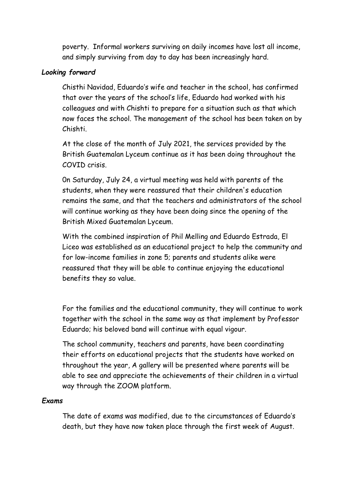poverty. Informal workers surviving on daily incomes have lost all income, and simply surviving from day to day has been increasingly hard.

## *Looking forward*

Chisthi Navidad, Eduardo's wife and teacher in the school, has confirmed that over the years of the school's life, Eduardo had worked with his colleagues and with Chishti to prepare for a situation such as that which now faces the school. The management of the school has been taken on by Chishti.

At the close of the month of July 2021, the services provided by the British Guatemalan Lyceum continue as it has been doing throughout the COVID crisis.

0n Saturday, July 24, a virtual meeting was held with parents of the students, when they were reassured that their children's education remains the same, and that the teachers and administrators of the school will continue working as they have been doing since the opening of the British Mixed Guatemalan Lyceum.

With the combined inspiration of Phil Melling and Eduardo Estrada, El Liceo was established as an educational project to help the community and for low-income families in zone 5; parents and students alike were reassured that they will be able to continue enjoying the educational benefits they so value.

For the families and the educational community, they will continue to work together with the school in the same way as that implement by Professor Eduardo; his beloved band will continue with equal vigour.

The school community, teachers and parents, have been coordinating their efforts on educational projects that the students have worked on throughout the year, A gallery will be presented where parents will be able to see and appreciate the achievements of their children in a virtual way through the ZOOM platform.

## *Exams*

The date of exams was modified, due to the circumstances of Eduardo's death, but they have now taken place through the first week of August.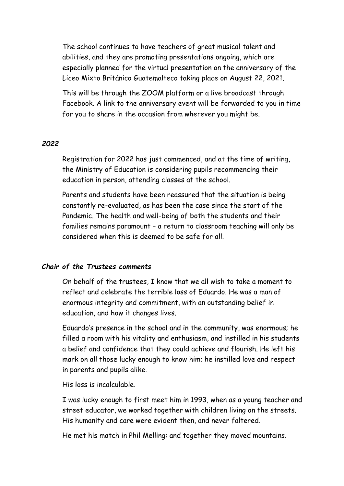The school continues to have teachers of great musical talent and abilities, and they are promoting presentations ongoing, which are especially planned for the virtual presentation on the anniversary of the Liceo Mixto Británico Guatemalteco taking place on August 22, 2021.

This will be through the ZOOM platform or a live broadcast through Facebook. A link to the anniversary event will be forwarded to you in time for you to share in the occasion from wherever you might be.

## *2022*

Registration for 2022 has just commenced, and at the time of writing, the Ministry of Education is considering pupils recommencing their education in person, attending classes at the school.

Parents and students have been reassured that the situation is being constantly re-evaluated, as has been the case since the start of the Pandemic. The health and well-being of both the students and their families remains paramount – a return to classroom teaching will only be considered when this is deemed to be safe for all.

## *Chair of the Trustees comments*

On behalf of the trustees, I know that we all wish to take a moment to reflect and celebrate the terrible loss of Eduardo. He was a man of enormous integrity and commitment, with an outstanding belief in education, and how it changes lives.

Eduardo's presence in the school and in the community, was enormous; he filled a room with his vitality and enthusiasm, and instilled in his students a belief and confidence that they could achieve and flourish. He left his mark on all those lucky enough to know him; he instilled love and respect in parents and pupils alike.

His loss is incalculable.

I was lucky enough to first meet him in 1993, when as a young teacher and street educator, we worked together with children living on the streets. His humanity and care were evident then, and never faltered.

He met his match in Phil Melling: and together they moved mountains.